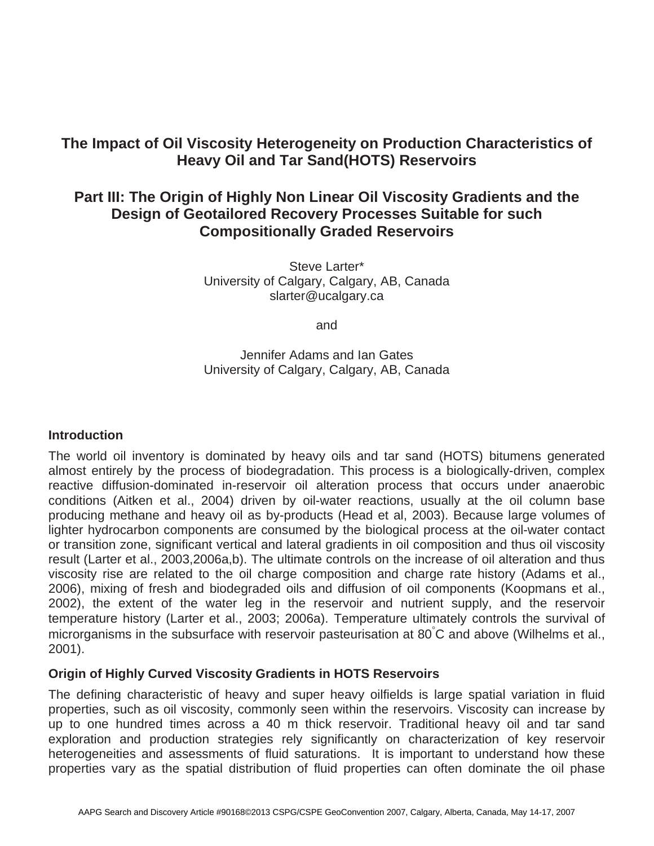# **The Impact of Oil Viscosity Heterogeneity on Production Characteristics of Heavy Oil and Tar Sand(HOTS) Reservoirs**

## **Part III: The Origin of Highly Non Linear Oil Viscosity Gradients and the Design of Geotailored Recovery Processes Suitable for such Compositionally Graded Reservoirs**

Steve Larter\* University of Calgary, Calgary, AB, Canada slarter@ucalgary.ca

and

Jennifer Adams and Ian Gates University of Calgary, Calgary, AB, Canada

### **Introduction**

The world oil inventory is dominated by heavy oils and tar sand (HOTS) bitumens generated almost entirely by the process of biodegradation. This process is a biologically-driven, complex reactive diffusion-dominated in-reservoir oil alteration process that occurs under anaerobic conditions (Aitken et al., 2004) driven by oil-water reactions, usually at the oil column base producing methane and heavy oil as by-products (Head et al, 2003). Because large volumes of lighter hydrocarbon components are consumed by the biological process at the oil-water contact or transition zone, significant vertical and lateral gradients in oil composition and thus oil viscosity result (Larter et al., 2003,2006a,b). The ultimate controls on the increase of oil alteration and thus viscosity rise are related to the oil charge composition and charge rate history (Adams et al., 2006), mixing of fresh and biodegraded oils and diffusion of oil components (Koopmans et al., 2002), the extent of the water leg in the reservoir and nutrient supply, and the reservoir temperature history (Larter et al., 2003; 2006a). Temperature ultimately controls the survival of microrganisms in the subsurface with reservoir pasteurisation at 80°C and above (Wilhelms et al., 2001).

### **Origin of Highly Curved Viscosity Gradients in HOTS Reservoirs**

The defining characteristic of heavy and super heavy oilfields is large spatial variation in fluid properties, such as oil viscosity, commonly seen within the reservoirs. Viscosity can increase by up to one hundred times across a 40 m thick reservoir. Traditional heavy oil and tar sand exploration and production strategies rely significantly on characterization of key reservoir heterogeneities and assessments of fluid saturations. It is important to understand how these properties vary as the spatial distribution of fluid properties can often dominate the oil phase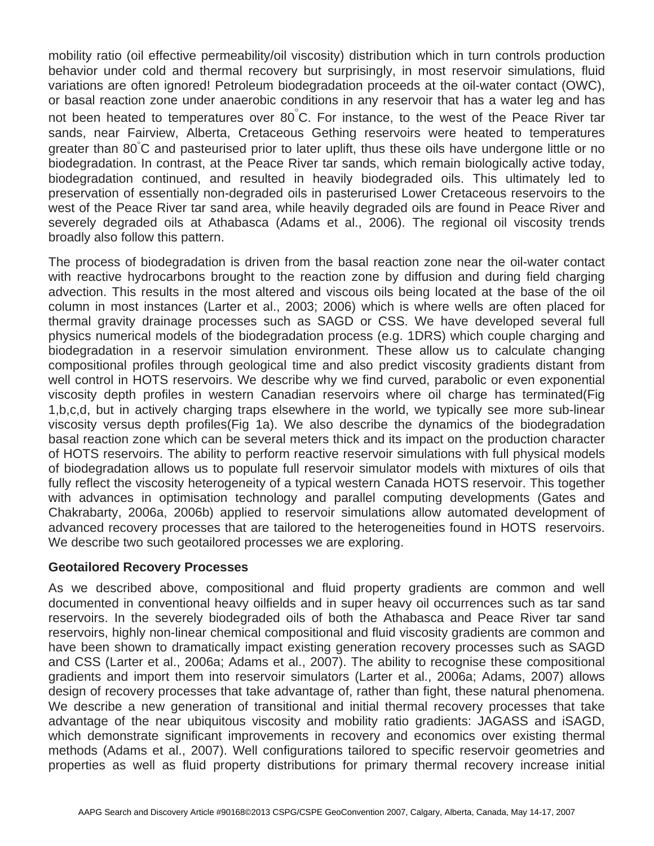mobility ratio (oil effective permeability/oil viscosity) distribution which in turn controls production behavior under cold and thermal recovery but surprisingly, in most reservoir simulations, fluid variations are often ignored! Petroleum biodegradation proceeds at the oil-water contact (OWC), or basal reaction zone under anaerobic conditions in any reservoir that has a water leg and has not been heated to temperatures over 80 $^{°}$  C. For instance, to the west of the Peace River tar sands, near Fairview, Alberta, Cretaceous Gething reservoirs were heated to temperatures greater than 80°C and pasteurised prior to later uplift, thus these oils have undergone little or no biodegradation. In contrast, at the Peace River tar sands, which remain biologically active today, biodegradation continued, and resulted in heavily biodegraded oils. This ultimately led to preservation of essentially non-degraded oils in pasterurised Lower Cretaceous reservoirs to the west of the Peace River tar sand area, while heavily degraded oils are found in Peace River and severely degraded oils at Athabasca (Adams et al., 2006). The regional oil viscosity trends broadly also follow this pattern.

The process of biodegradation is driven from the basal reaction zone near the oil-water contact with reactive hydrocarbons brought to the reaction zone by diffusion and during field charging advection. This results in the most altered and viscous oils being located at the base of the oil column in most instances (Larter et al., 2003; 2006) which is where wells are often placed for thermal gravity drainage processes such as SAGD or CSS. We have developed several full physics numerical models of the biodegradation process (e.g. 1DRS) which couple charging and biodegradation in a reservoir simulation environment. These allow us to calculate changing compositional profiles through geological time and also predict viscosity gradients distant from well control in HOTS reservoirs. We describe why we find curved, parabolic or even exponential viscosity depth profiles in western Canadian reservoirs where oil charge has terminated(Fig 1,b,c,d, but in actively charging traps elsewhere in the world, we typically see more sub-linear viscosity versus depth profiles(Fig 1a). We also describe the dynamics of the biodegradation basal reaction zone which can be several meters thick and its impact on the production character of HOTS reservoirs. The ability to perform reactive reservoir simulations with full physical models of biodegradation allows us to populate full reservoir simulator models with mixtures of oils that fully reflect the viscosity heterogeneity of a typical western Canada HOTS reservoir. This together with advances in optimisation technology and parallel computing developments (Gates and Chakrabarty, 2006a, 2006b) applied to reservoir simulations allow automated development of advanced recovery processes that are tailored to the heterogeneities found in HOTS reservoirs. We describe two such geotailored processes we are exploring.

### **Geotailored Recovery Processes**

As we described above, compositional and fluid property gradients are common and well documented in conventional heavy oilfields and in super heavy oil occurrences such as tar sand reservoirs. In the severely biodegraded oils of both the Athabasca and Peace River tar sand reservoirs, highly non-linear chemical compositional and fluid viscosity gradients are common and have been shown to dramatically impact existing generation recovery processes such as SAGD and CSS (Larter et al., 2006a; Adams et al., 2007). The ability to recognise these compositional gradients and import them into reservoir simulators (Larter et al., 2006a; Adams, 2007) allows design of recovery processes that take advantage of, rather than fight, these natural phenomena. We describe a new generation of transitional and initial thermal recovery processes that take advantage of the near ubiquitous viscosity and mobility ratio gradients: JAGASS and iSAGD, which demonstrate significant improvements in recovery and economics over existing thermal methods (Adams et al., 2007). Well configurations tailored to specific reservoir geometries and properties as well as fluid property distributions for primary thermal recovery increase initial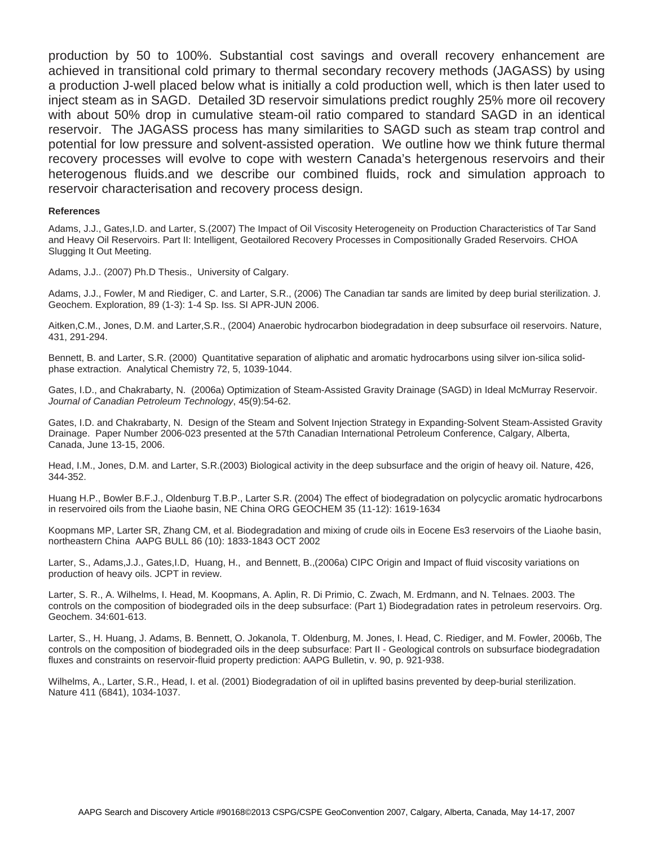production by 50 to 100%. Substantial cost savings and overall recovery enhancement are achieved in transitional cold primary to thermal secondary recovery methods (JAGASS) by using a production J-well placed below what is initially a cold production well, which is then later used to inject steam as in SAGD. Detailed 3D reservoir simulations predict roughly 25% more oil recovery with about 50% drop in cumulative steam-oil ratio compared to standard SAGD in an identical reservoir. The JAGASS process has many similarities to SAGD such as steam trap control and potential for low pressure and solvent-assisted operation. We outline how we think future thermal recovery processes will evolve to cope with western Canada's hetergenous reservoirs and their heterogenous fluids.and we describe our combined fluids, rock and simulation approach to reservoir characterisation and recovery process design.

#### **References**

Adams, J.J., Gates,I.D. and Larter, S.(2007) The Impact of Oil Viscosity Heterogeneity on Production Characteristics of Tar Sand and Heavy Oil Reservoirs. Part II: Intelligent, Geotailored Recovery Processes in Compositionally Graded Reservoirs. CHOA Slugging It Out Meeting.

Adams, J.J.. (2007) Ph.D Thesis., University of Calgary.

Adams, J.J., Fowler, M and Riediger, C. and Larter, S.R., (2006) The Canadian tar sands are limited by deep burial sterilization. J. Geochem. Exploration, 89 (1-3): 1-4 Sp. Iss. SI APR-JUN 2006.

Aitken,C.M., Jones, D.M. and Larter,S.R., (2004) Anaerobic hydrocarbon biodegradation in deep subsurface oil reservoirs. Nature, 431, 291-294.

Bennett, B. and Larter, S.R. (2000) Quantitative separation of aliphatic and aromatic hydrocarbons using silver ion-silica solidphase extraction. Analytical Chemistry 72, 5, 1039-1044.

Gates, I.D., and Chakrabarty, N. (2006a) Optimization of Steam-Assisted Gravity Drainage (SAGD) in Ideal McMurray Reservoir. *Journal of Canadian Petroleum Technology*, 45(9):54-62.

Gates, I.D. and Chakrabarty, N. Design of the Steam and Solvent Injection Strategy in Expanding-Solvent Steam-Assisted Gravity Drainage. Paper Number 2006-023 presented at the 57th Canadian International Petroleum Conference, Calgary, Alberta, Canada, June 13-15, 2006.

Head, I.M., Jones, D.M. and Larter, S.R.(2003) Biological activity in the deep subsurface and the origin of heavy oil. Nature, 426, 344-352.

Huang H.P., Bowler B.F.J., Oldenburg T.B.P., Larter S.R. (2004) The effect of biodegradation on polycyclic aromatic hydrocarbons in reservoired oils from the Liaohe basin, NE China ORG GEOCHEM 35 (11-12): 1619-1634

Koopmans MP, Larter SR, Zhang CM, et al. Biodegradation and mixing of crude oils in Eocene Es3 reservoirs of the Liaohe basin, northeastern China AAPG BULL 86 (10): 1833-1843 OCT 2002

Larter, S., Adams,J.J., Gates,I.D, Huang, H., and Bennett, B.,(2006a) CIPC Origin and Impact of fluid viscosity variations on production of heavy oils. JCPT in review.

Larter, S. R., A. Wilhelms, I. Head, M. Koopmans, A. Aplin, R. Di Primio, C. Zwach, M. Erdmann, and N. Telnaes. 2003. The controls on the composition of biodegraded oils in the deep subsurface: (Part 1) Biodegradation rates in petroleum reservoirs. Org. Geochem. 34:601-613.

Larter, S., H. Huang, J. Adams, B. Bennett, O. Jokanola, T. Oldenburg, M. Jones, I. Head, C. Riediger, and M. Fowler, 2006b, The controls on the composition of biodegraded oils in the deep subsurface: Part II - Geological controls on subsurface biodegradation fluxes and constraints on reservoir-fluid property prediction: AAPG Bulletin, v. 90, p. 921-938.

Wilhelms, A., Larter, S.R., Head, I. et al. (2001) Biodegradation of oil in uplifted basins prevented by deep-burial sterilization. Nature 411 (6841), 1034-1037.